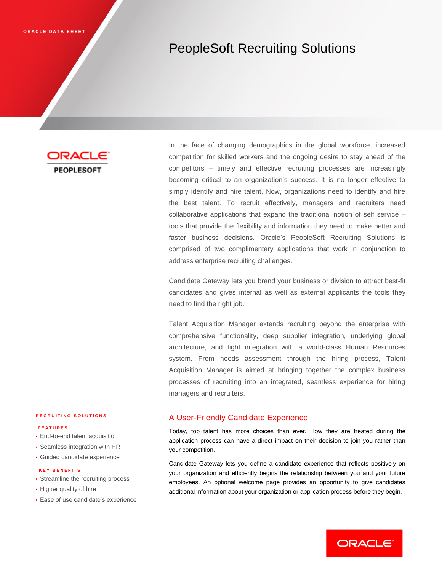# PeopleSoft Recruiting Solutions

**PEOPLESOFT** 

In the face of changing demographics in the global workforce, increased competition for skilled workers and the ongoing desire to stay ahead of the competitors – timely and effective recruiting processes are increasingly becoming critical to an organization's success. It is no longer effective to simply identify and hire talent. Now, organizations need to identify and hire the best talent. To recruit effectively, managers and recruiters need collaborative applications that expand the traditional notion of self service – tools that provide the flexibility and information they need to make better and faster business decisions. Oracle's PeopleSoft Recruiting Solutions is comprised of two complimentary applications that work in conjunction to address enterprise recruiting challenges.

Candidate Gateway lets you brand your business or division to attract best-fit candidates and gives internal as well as external applicants the tools they need to find the right job.

Talent Acquisition Manager extends recruiting beyond the enterprise with comprehensive functionality, deep supplier integration, underlying global architecture, and tight integration with a world-class Human Resources system. From needs assessment through the hiring process, Talent Acquisition Manager is aimed at bringing together the complex business processes of recruiting into an integrated, seamless experience for hiring managers and recruiters.

# A User-Friendly Candidate Experience

Today, top talent has more choices than ever. How they are treated during the application process can have a direct impact on their decision to join you rather than your competition.

Candidate Gateway lets you define a candidate experience that reflects positively on your organization and efficiently begins the relationship between you and your future employees. An optional welcome page provides an opportunity to give candidates additional information about your organization or application process before they begin.

## **R E C R U I T I N G S O L U T I O N S**

## **F E A T U R E S**

- End-to-end talent acquisition
- Seamless integration with HR
- Guided candidate experience

### **K E Y B E N E F I T S**

- Streamline the recruiting process
- Higher quality of hire
- Ease of use candidate's experience

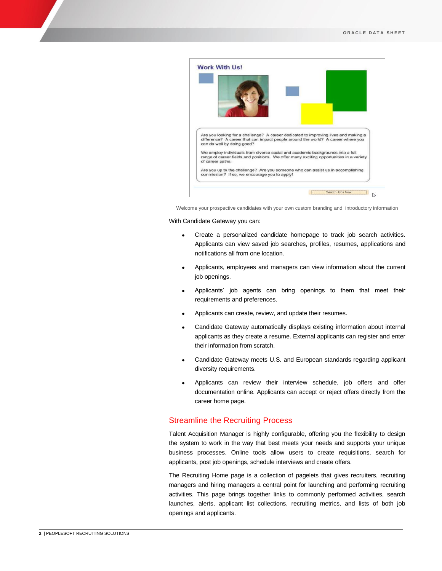

Welcome your prospective candidates with your own custom branding and introductory information

With Candidate Gateway you can:

- Create a personalized candidate homepage to track job search activities. Applicants can view saved job searches, profiles, resumes, applications and notifications all from one location.
- Applicants, employees and managers can view information about the current job openings.
- Applicants' job agents can bring openings to them that meet their requirements and preferences.
- Applicants can create, review, and update their resumes.
- Candidate Gateway automatically displays existing information about internal applicants as they create a resume. External applicants can register and enter their information from scratch.
- Candidate Gateway meets U.S. and European standards regarding applicant diversity requirements.
- Applicants can review their interview schedule, job offers and offer documentation online. Applicants can accept or reject offers directly from the career home page.

## Streamline the Recruiting Process

Talent Acquisition Manager is highly configurable, offering you the flexibility to design the system to work in the way that best meets your needs and supports your unique business processes. Online tools allow users to create requisitions, search for applicants, post job openings, schedule interviews and create offers.

The Recruiting Home page is a collection of pagelets that gives recruiters, recruiting managers and hiring managers a central point for launching and performing recruiting activities. This page brings together links to commonly performed activities, search launches, alerts, applicant list collections, recruiting metrics, and lists of both job openings and applicants.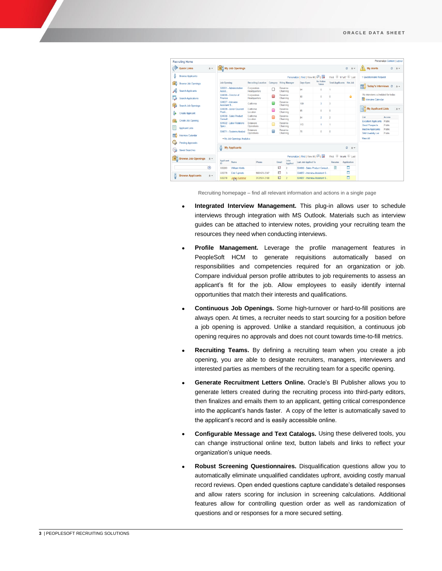|                         | <b>Recruiting Home</b>                                                       |                                                          |                                                                                    |                                     |                                             |   |                              |                                 |                           |                                 |             |                                                                    | Personalize Content   Layout |             |
|-------------------------|------------------------------------------------------------------------------|----------------------------------------------------------|------------------------------------------------------------------------------------|-------------------------------------|---------------------------------------------|---|------------------------------|---------------------------------|---------------------------|---------------------------------|-------------|--------------------------------------------------------------------|------------------------------|-------------|
|                         | <b>Quick Links</b>                                                           | $0 -$                                                    |                                                                                    | My Job Openings<br>0 0              |                                             |   |                              |                                 |                           |                                 |             | <b>My Alerts</b>                                                   |                              | $O$ $O$ $v$ |
|                         | <b>Browse Applicants</b>                                                     |                                                          | First 17 of 7 10 Last<br>Personalize   Find   View All   $\boxed{2}$   $\boxed{3}$ |                                     |                                             |   |                              |                                 |                           | 1 Questionnaire Request         |             |                                                                    |                              |             |
| ъŏ                      | <b>Browse Job Openings</b>                                                   |                                                          | <b>Job Opening</b>                                                                 |                                     | Recruiting Location Category Hiring Manager |   |                              | Days Open                       | <b>No Action</b><br>Taken | <b>Total Applicants</b> Hot Job |             |                                                                    |                              |             |
|                         | <b>Search Applicants</b>                                                     |                                                          | 500051 - Administrative<br>Assist                                                  |                                     | Corporation<br>Headquarters                 | O | Rosanna<br>Channing          | 94                              | $\mathbf{0}$              |                                 |             | ٦ï<br>Today's Interviews C                                         |                              | $0 -$       |
| فيا                     | <b>Search Applications</b><br>Search Job Openings<br><b>Create Applicant</b> |                                                          | 504026 - Director of<br>Finance                                                    |                                     | Corporation<br>Headquarters                 | 0 | Rosanna<br>Channing          | 80                              | $\mathbf{0}$              | o                               | ۵           | No interviews scheduled for today.<br><b>TO</b> Interview Calendar |                              |             |
| 멀                       |                                                                              |                                                          | 504027 - Interview<br>Assistant S.                                                 |                                     | California                                  |   | Rosanna<br>Channing          | 109                             | 3                         |                                 |             | 图 My Applicant Lists                                               |                              |             |
| 8                       |                                                                              |                                                          | 504029 - Junior Counsel<br>Positi.                                                 |                                     | California<br>Location                      |   | Rosanna<br>Channing          | 85                              | $\mathbf{0}$              | $\overline{0}$                  |             |                                                                    |                              | $0 -$       |
| $\overline{\mathbf{a}}$ | Create Job Opening                                                           |                                                          | 504030 - Sales Product<br>Consult.                                                 |                                     | California<br>Location                      |   | Rosanna<br>Channing          | 84                              | $\overline{a}$            | $\overline{2}$                  |             | List                                                               | Access                       |             |
|                         |                                                                              |                                                          | Speci.                                                                             | 504032 - Labor Relations            | Delaware<br>Operations                      |   | Rosanna<br>Channing          | 113                             | $\overline{1}$            |                                 |             | <b>Excellent Applicants</b><br><b>Good Prospects</b>               | Public<br>Public             |             |
| Ξ                       | <b>Applicant Lists</b>                                                       |                                                          |                                                                                    | 504071 - Systems Analyst            | Delaware<br>Operations                      | Г | Rosanna<br>Channing          | 76                              | $\theta$                  | $\overline{0}$                  |             | <b>Inactive Applicants</b><br><b>TAM Usability List</b>            | Public<br>Public             |             |
| тŏ                      |                                                                              | <b>Interview Calendar</b><br>- My Job Openings Analytics |                                                                                    |                                     |                                             |   |                              |                                 | <b>View All</b>           |                                 |             |                                                                    |                              |             |
| Θ                       | Pending Approvals                                                            |                                                          |                                                                                    | <b>My Applicants</b>                |                                             |   |                              |                                 |                           |                                 | c<br>$0 -$  |                                                                    |                              |             |
| <b>Bo</b>               | <b>Saved Searches</b>                                                        |                                                          |                                                                                    |                                     |                                             |   |                              |                                 |                           |                                 |             |                                                                    |                              |             |
| 凹                       | <b>Browse Job Openings</b>                                                   | $0 -$                                                    | First 16 df 6 2 Last<br>Personalize   Find   View All   [3]                        |                                     |                                             |   |                              |                                 |                           |                                 |             |                                                                    |                              |             |
|                         |                                                                              |                                                          | Applicant<br>In.                                                                   | Name                                | Phone                                       |   | Jobs<br>Email<br>Applied     | <b>Last Job Applied To</b>      |                           | Resume                          | Application |                                                                    |                              |             |
|                         |                                                                              | $\circledR$                                              | 300283                                                                             | <b>William Wells</b>                |                                             |   | Ø<br>$\overline{2}$          | 504030 - Sales Product Consult. |                           | 目                               | п           |                                                                    |                              |             |
| å                       | <b>Browse Applicants</b>                                                     |                                                          | 500279                                                                             | Erik Fuimoto                        | 968/470-2247                                |   | ⊡<br>$\overline{\mathbf{3}}$ | 504027 - Interview Assistant S. |                           |                                 | п           |                                                                    |                              |             |
|                         |                                                                              | $0 -$                                                    | 500278                                                                             | 312/504-2188<br><b>Jague Kummer</b> |                                             |   | F<br>$\overline{2}$          | 504027 - Interview Assistant S. |                           |                                 | п           |                                                                    |                              |             |

Recruiting homepage – find all relevant information and actions in a single page

- **Integrated Interview Management.** This plug-in allows user to schedule interviews through integration with MS Outlook. Materials such as interview guides can be attached to interview notes, providing your recruiting team the resources they need when conducting interviews.
- **Profile Management.** Leverage the profile management features in PeopleSoft HCM to generate requisitions automatically based on responsibilities and competencies required for an organization or job. Compare individual person profile attributes to job requirements to assess an applicant's fit for the job. Allow employees to easily identify internal opportunities that match their interests and qualifications.
- **Continuous Job Openings.** Some high-turnover or hard-to-fill positions are always open. At times, a recruiter needs to start sourcing for a position before a job opening is approved. Unlike a standard requisition, a continuous job opening requires no approvals and does not count towards time-to-fill metrics.
- **Recruiting Teams.** By defining a recruiting team when you create a job opening, you are able to designate recruiters, managers, interviewers and interested parties as members of the recruiting team for a specific opening.
- **Generate Recruitment Letters Online.** Oracle's BI Publisher allows you to generate letters created during the recruiting process into third-party editors, then finalizes and emails them to an applicant, getting critical correspondence into the applicant's hands faster. A copy of the letter is automatically saved to the applicant's record and is easily accessible online.
- **Configurable Message and Text Catalogs.** Using these delivered tools, you can change instructional online text, button labels and links to reflect your organization's unique needs.
- **Robust Screening Questionnaires.** Disqualification questions allow you to automatically eliminate unqualified candidates upfront, avoiding costly manual record reviews. Open ended questions capture candidate's detailed responses and allow raters scoring for inclusion in screening calculations. Additional features allow for controlling question order as well as randomization of questions and or responses for a more secured setting.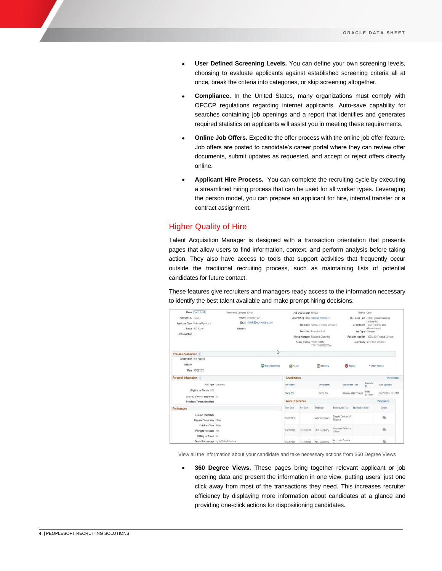- **User Defined Screening Levels.** You can define your own screening levels, choosing to evaluate applicants against established screening criteria all at once, break the criteria into categories, or skip screening altogether.
- **Compliance.** In the United States, many organizations must comply with OFCCP regulations regarding internet applicants. Auto-save capability for searches containing job openings and a report that identifies and generates required statistics on applicants will assist you in meeting these requirements.
- **Online Job Offers.** Expedite the offer process with the online job offer feature. Job offers are posted to candidate's career portal where they can review offer documents, submit updates as requested, and accept or reject offers directly online.
- **Applicant Hire Process.** You can complete the recruiting cycle by executing a streamlined hiring process that can be used for all worker types. Leveraging the person model, you can prepare an applicant for hire, internal transfer or a contract assignment.

## Higher Quality of Hire

Talent Acquisition Manager is designed with a transaction orientation that presents pages that allow users to find information, context, and perform analysis before taking action. They also have access to tools that support activities that frequently occur outside the traditional recruiting process, such as maintaining lists of potential candidates for future contact.

These features give recruiters and managers ready access to the information necessary to identify the best talent available and make prompt hiring decisions.

|                                                           | Name David Smith                        | Preferred Contact Email |                            |                                                                                                 | Job Opening ID 504026 |                                       |                               |                                         | Status Open                                    |                                      |  |
|-----------------------------------------------------------|-----------------------------------------|-------------------------|----------------------------|-------------------------------------------------------------------------------------------------|-----------------------|---------------------------------------|-------------------------------|-----------------------------------------|------------------------------------------------|--------------------------------------|--|
| Applicant ID 300283                                       |                                         |                         | Phone 555/555-1234         |                                                                                                 |                       | Job Posting Title Director of Finance |                               |                                         |                                                | Business Unit GBIBU (Global Business |  |
|                                                           | Applicant Type External Applicant       |                         | Email dsmth@xvzcompany.com | Job Code 420050 (Finance Director)<br>Recruiter Emmylou Dell<br>Hiring Manager Rosanna Channing |                       |                                       |                               |                                         | Institute BU)<br>Department 13000 (Finance and |                                      |  |
|                                                           | Status 010 Active                       | Address                 |                            |                                                                                                 |                       |                                       |                               | Job Type Standard                       |                                                | Administration)                      |  |
| Jobs Applied 1                                            |                                         |                         |                            |                                                                                                 |                       |                                       |                               |                                         |                                                |                                      |  |
|                                                           |                                         |                         |                            |                                                                                                 |                       |                                       |                               |                                         | Position Number 19000230 (Finance Director)    |                                      |  |
|                                                           |                                         |                         |                            | Salary Range 119.851.00 to<br>179.776.00 USD/Year                                               |                       |                                       |                               | Job Family KEXEC (Executive)            |                                                |                                      |  |
|                                                           |                                         |                         | D                          |                                                                                                 |                       |                                       |                               |                                         |                                                |                                      |  |
| <b>Process Application 17</b>                             |                                         |                         |                            |                                                                                                 |                       |                                       |                               |                                         |                                                |                                      |  |
| Disposition 010 Appled                                    |                                         |                         |                            |                                                                                                 |                       |                                       |                               |                                         |                                                |                                      |  |
| Reason                                                    |                                         |                         | <b>La Mark Reviewed</b>    | <b>Route</b>                                                                                    |                       | <b>TH</b> Interview                   |                               | <b>O</b> Reject                         |                                                | · Other Actions                      |  |
|                                                           | Date 05/29/2015                         |                         |                            |                                                                                                 |                       |                                       |                               |                                         |                                                |                                      |  |
| Personal Information                                      |                                         |                         |                            | <b>Attachments</b>                                                                              |                       |                                       |                               |                                         |                                                | Personalize                          |  |
|                                                           | POI Type Unknown                        |                         |                            | File Name                                                                                       |                       | Description                           | <b>Attachment Type</b>        |                                         | Uploaded<br>By                                 | Last Updated                         |  |
| Eligible to Work in U.S.<br>Are you a former employee No. |                                         |                         |                            |                                                                                                 | Doc2 doc              |                                       |                               | Betty<br>Resume attachments<br>Locherty |                                                | 05/29/2015 11:57AM                   |  |
| Previous Termination Date                                 |                                         |                         | <b>Work Experience</b>     |                                                                                                 |                       |                                       |                               |                                         | Personalize                                    |                                      |  |
| Preferences                                               |                                         |                         |                            | Start Date                                                                                      | End Date              | Employer                              | Ending Job Title              | <b>Ending Pay Rate</b>                  |                                                | Details.                             |  |
|                                                           | <b>Desired Start Date</b>               |                         |                            | 07/01/2010                                                                                      |                       | WXZ Company                           | Deputy Director of            |                                         |                                                | 陽                                    |  |
| Regular/Temporary Either                                  |                                         |                         |                            |                                                                                                 |                       |                                       | Finance                       |                                         |                                                |                                      |  |
|                                                           | Full/Part-Time Edher                    |                         |                            |                                                                                                 |                       |                                       | Assistant Finanical           |                                         |                                                |                                      |  |
|                                                           | Willing to Relocate Yes                 |                         |                            | 03/01/1998                                                                                      | 06/30/2010            | <b>LMN Company</b>                    | Officer                       |                                         |                                                | 陽                                    |  |
|                                                           | Willing to Travel No.                   |                         |                            |                                                                                                 |                       |                                       |                               |                                         |                                                |                                      |  |
|                                                           | Travel Percentage Up to 25% of the time |                         |                            | 04/01/1990                                                                                      | 02/25/1998            | ABC Company                           | Accounts Pavable<br>Concision |                                         |                                                | 陆                                    |  |

View all the information about your candidate and take necessary actions from 360 Degree Views

 **360 Degree Views.** These pages bring together relevant applicant or job opening data and present the information in one view, putting users' just one click away from most of the transactions they need. This increases recruiter efficiency by displaying more information about candidates at a glance and providing one-click actions for dispositioning candidates.